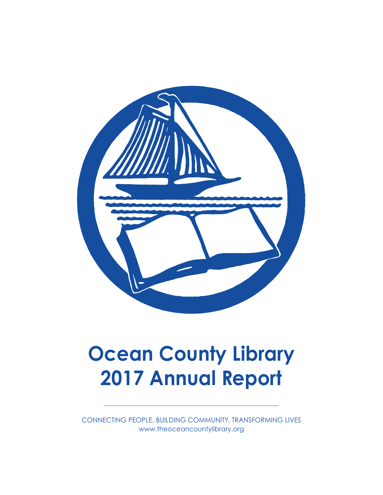

# **Ocean County Library 2017 Annual Report**

CONNECTING PEOPLE, BUILDING COMMUNITY, TRANSFORMING LIVES www.theoceancountylibrary.org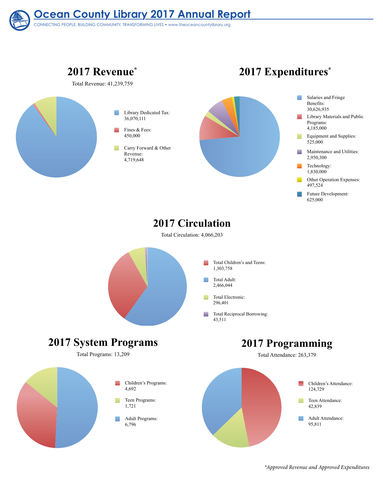**Ocean County Library 2017 Annual Report** CONNECTING PEOPLE, BUILDING COMMUNITY, TRANSFORMING LIVES • www.theoceancountylibrary.org

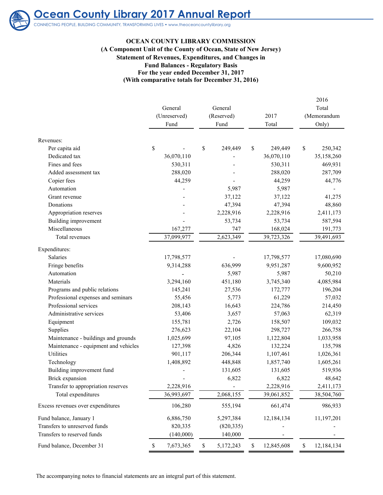

# **Ocean County Library 2017 Annual Report**

CONNECTING PEOPLE, BUILDING COMMUNITY, TRANSFORMING LIVES • www.theoceancountylibrary.org

#### **OCEAN COUNTY LIBRARY COMMISSION**

#### **Statement of Revenues, Expenditures, and Changes in Fund Balances - Regulatory Basis For the year ended December 31, 2017 (With comparative totals for December 31, 2016) (A Component Unit of the County of Ocean, State of New Jersey)**

|                                      | General<br>(Unreserved)<br>Fund | General<br>(Reserved)<br>Fund | 2017<br>Total    | 2016<br>Total<br>(Memorandum<br>Only) |
|--------------------------------------|---------------------------------|-------------------------------|------------------|---------------------------------------|
| Revenues:                            |                                 |                               |                  |                                       |
| Per capita aid                       | \$                              | \$<br>249,449                 | \$<br>249,449    | \$<br>250,342                         |
| Dedicated tax                        | 36,070,110                      |                               | 36,070,110       | 35,158,260                            |
| Fines and fees                       | 530,311                         |                               | 530,311          | 469,931                               |
| Added assessment tax                 | 288,020                         |                               | 288,020          | 287,709                               |
| Copier fees                          | 44,259                          |                               | 44,259           | 44,776                                |
| Automation                           |                                 | 5,987                         | 5,987            |                                       |
| Grant revenue                        |                                 | 37,122                        | 37,122           | 41,275                                |
| Donations                            |                                 | 47,394                        | 47,394           | 48,860                                |
| Appropriation reserves               |                                 | 2,228,916                     | 2,228,916        | 2,411,173                             |
| Building improvement                 |                                 | 53,734                        | 53,734           | 587,594                               |
| Miscellaneous                        | 167,277                         | 747                           | 168,024          | 191,773                               |
| Total revenues                       | 37,099,977                      | 2,623,349                     | 39,723,326       | 39,491,693                            |
| Expenditures:                        |                                 |                               |                  |                                       |
| Salaries                             | 17,798,577                      |                               | 17,798,577       | 17,080,690                            |
| Fringe benefits                      | 9,314,288                       | 636,999                       | 9,951,287        | 9,600,952                             |
| Automation                           |                                 | 5,987                         | 5,987            | 50,210                                |
| Materials                            | 3,294,160                       | 451,180                       | 3,745,340        | 4,085,984                             |
| Programs and public relations        | 145,241                         | 27,536                        | 172,777          | 196,204                               |
| Professional expenses and seminars   | 55,456                          | 5,773                         | 61,229           | 57,032                                |
| Professional services                | 208,143                         | 16,643                        | 224,786          | 214,450                               |
| Administrative services              | 53,406                          | 3,657                         | 57,063           | 62,319                                |
| Equipment                            | 155,781                         | 2,726                         | 158,507          | 109,032                               |
| Supplies                             | 276,623                         | 22,104                        | 298,727          | 266,758                               |
| Maintenance - buildings and grounds  | 1,025,699                       | 97,105                        | 1,122,804        | 1,033,958                             |
| Maintenance - equipment and vehicles | 127,398                         | 4,826                         | 132,224          | 135,798                               |
| Utilities                            | 901,117                         | 206,344                       | 1,107,461        | 1,026,361                             |
| Technology                           | 1,408,892                       | 448,848                       | 1,857,740        | 1,605,261                             |
| Building improvement fund            |                                 | 131,605                       | 131,605          | 519,936                               |
| Brick expansion                      |                                 | 6,822                         | 6,822            | 48,642                                |
| Transfer to appropriation reserves   | 2,228,916                       |                               | 2,228,916        | 2,411,173                             |
| Total expenditures                   | 36,993,697                      | 2,068,155                     | 39,061,852       | 38,504,760                            |
| Excess revenues over expenditures    | 106,280                         | 555,194                       | 661,474          | 986,933                               |
| Fund balance, January 1              | 6,886,750                       | 5,297,384                     | 12,184,134       | 11,197,201                            |
| Transfers to unreserved funds        | 820,335                         | (820, 335)                    |                  |                                       |
| Transfers to reserved funds          | (140,000)                       | 140,000                       |                  |                                       |
| Fund balance, December 31            | 7,673,365<br>\$                 | \$<br>5,172,243               | \$<br>12,845,608 | $\mathbb{S}$<br>12,184,134            |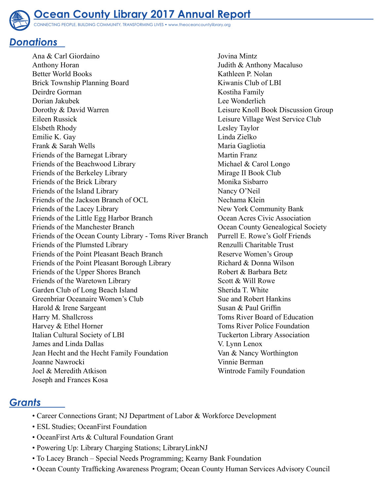

#### *Donations*

Ana & Carl Giordaino Anthony Horan Better World Books Brick Township Planning Board Deirdre Gorman Dorian Jakubek Dorothy & David Warren Eileen Russick Elsbeth Rhody Emilie K. Gay Frank & Sarah Wells Friends of the Barnegat Library Friends of the Beachwood Library Friends of the Berkeley Library Friends of the Brick Library Friends of the Island Library Friends of the Jackson Branch of OCL Friends of the Lacey Library Friends of the Little Egg Harbor Branch Friends of the Manchester Branch Friends of the Ocean County Library - Toms River Branch Friends of the Plumsted Library Friends of the Point Pleasant Beach Branch Friends of the Point Pleasant Borough Library Friends of the Upper Shores Branch Friends of the Waretown Library Garden Club of Long Beach Island Greenbriar Oceanaire Women's Club Harold & Irene Sargeant Harry M. Shallcross Harvey & Ethel Horner Italian Cultural Society of LBI James and Linda Dallas Jean Hecht and the Hecht Family Foundation Joanne Nawrocki Joel & Meredith Atkison Joseph and Frances Kosa

Jovina Mintz Judith & Anthony Macaluso Kathleen P. Nolan Kiwanis Club of LBI Kostiha Family Lee Wonderlich Leisure Knoll Book Discussion Group Leisure Village West Service Club Lesley Taylor Linda Zielko Maria Gagliotia Martin Franz Michael & Carol Longo Mirage II Book Club Monika Sisbarro Nancy O'Neil Nechama Klein New York Community Bank Ocean Acres Civic Association Ocean County Genealogical Society Purrell E. Rowe's Golf Friends Renzulli Charitable Trust Reserve Women's Group Richard & Donna Wilson Robert & Barbara Betz Scott & Will Rowe Sherida T. White Sue and Robert Hankins Susan & Paul Griffin Toms River Board of Education Toms River Police Foundation Tuckerton Library Association V. Lynn Lenox Van & Nancy Worthington Vinnie Berman Wintrode Family Foundation

## *Grants*

- Career Connections Grant; NJ Department of Labor & Workforce Development
- ESL Studies; OceanFirst Foundation
- OceanFirst Arts & Cultural Foundation Grant
- Powering Up: Library Charging Stations; LibraryLinkNJ
- To Lacey Branch Special Needs Programming; Kearny Bank Foundation
- Ocean County Trafficking Awareness Program; Ocean County Human Services Advisory Council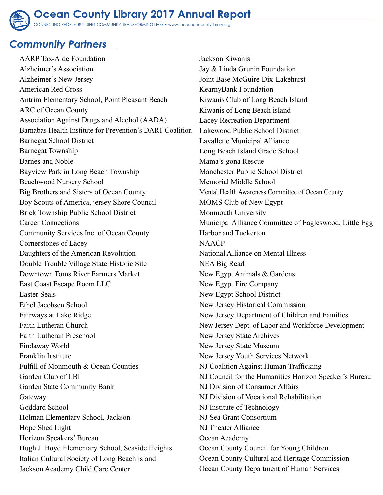

CONNECTING PEOPLE, BUILDING COMMUNITY, TRANSFORMING LIVES • www.theoceancountylibrary.org

## *Community Partners*

AARP Tax-Aide Foundation Alzheimer's Association Alzheimer's New Jersey American Red Cross Antrim Elementary School, Point Pleasant Beach ARC of Ocean County Association Against Drugs and Alcohol (AADA) Barnabas Health Institute for Prevention's DART Coalition Barnegat School District Barnegat Township Barnes and Noble Bayview Park in Long Beach Township Beachwood Nursery School Big Brothers and Sisters of Ocean County Boy Scouts of America, jersey Shore Council Brick Township Public School District Career Connections Community Services Inc. of Ocean County Cornerstones of Lacey Daughters of the American Revolution Double Trouble Village State Historic Site Downtown Toms River Farmers Market East Coast Escape Room LLC Easter Seals Ethel Jacobsen School Fairways at Lake Ridge Faith Lutheran Church Faith Lutheran Preschool Findaway World Franklin Institute Fulfill of Monmouth & Ocean Counties Garden Club of LBI Garden State Community Bank Gateway Goddard School Holman Elementary School, Jackson Hope Shed Light Horizon Speakers' Bureau Hugh J. Boyd Elementary School, Seaside Heights Italian Cultural Society of Long Beach island Jackson Academy Child Care Center

Jackson Kiwanis Jay & Linda Grunin Foundation Joint Base McGuire-Dix-Lakehurst KearnyBank Foundation Kiwanis Club of Long Beach Island Kiwanis of Long Beach island Lacey Recreation Department Lakewood Public School District Lavallette Municipal Alliance Long Beach Island Grade School Mama's-gona Rescue Manchester Public School District Memorial Middle School Mental Health Awareness Committee of Ocean County MOMS Club of New Egypt Monmouth University Municipal Alliance Committee of Eagleswood, Little Egg Harbor and Tuckerton NAACP National Alliance on Mental Illness NEA Big Read New Egypt Animals & Gardens New Egypt Fire Company New Egypt School District New Jersey Historical Commission New Jersey Department of Children and Families New Jersey Dept. of Labor and Workforce Development New Jersey State Archives New Jersey State Museum New Jersey Youth Services Network NJ Coalition Against Human Trafficking NJ Council for the Humanities Horizon Speaker's Bureau NJ Division of Consumer Affairs NJ Division of Vocational Rehabilitation NJ Institute of Technology NJ Sea Grant Consortium NJ Theater Alliance Ocean Academy Ocean County Council for Young Children Ocean County Cultural and Heritage Commission Ocean County Department of Human Services